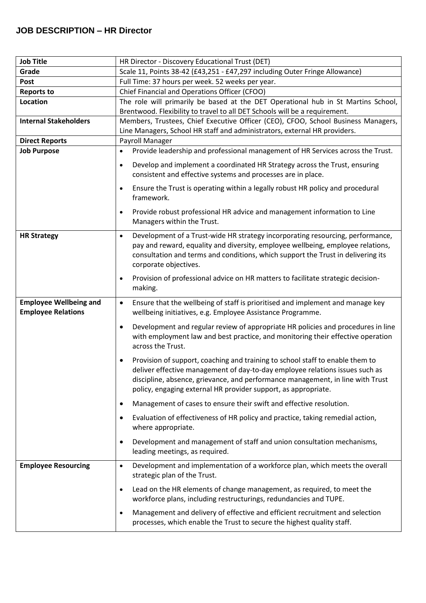## **JOB DESCRIPTION – HR Director**

| <b>Job Title</b>                                           | HR Director - Discovery Educational Trust (DET)                                                                                                                                                                                                                                                                                |  |  |
|------------------------------------------------------------|--------------------------------------------------------------------------------------------------------------------------------------------------------------------------------------------------------------------------------------------------------------------------------------------------------------------------------|--|--|
| Grade                                                      | Scale 11, Points 38-42 (£43,251 - £47,297 including Outer Fringe Allowance)                                                                                                                                                                                                                                                    |  |  |
| Post                                                       | Full Time: 37 hours per week. 52 weeks per year.                                                                                                                                                                                                                                                                               |  |  |
| <b>Reports to</b>                                          | Chief Financial and Operations Officer (CFOO)                                                                                                                                                                                                                                                                                  |  |  |
| Location                                                   | The role will primarily be based at the DET Operational hub in St Martins School,                                                                                                                                                                                                                                              |  |  |
|                                                            | Brentwood. Flexibility to travel to all DET Schools will be a requirement.                                                                                                                                                                                                                                                     |  |  |
| <b>Internal Stakeholders</b>                               | Members, Trustees, Chief Executive Officer (CEO), CFOO, School Business Managers,                                                                                                                                                                                                                                              |  |  |
|                                                            | Line Managers, School HR staff and administrators, external HR providers.                                                                                                                                                                                                                                                      |  |  |
| <b>Direct Reports</b>                                      | Payroll Manager                                                                                                                                                                                                                                                                                                                |  |  |
| <b>Job Purpose</b>                                         | Provide leadership and professional management of HR Services across the Trust.<br>$\bullet$                                                                                                                                                                                                                                   |  |  |
|                                                            | Develop and implement a coordinated HR Strategy across the Trust, ensuring<br>$\bullet$                                                                                                                                                                                                                                        |  |  |
|                                                            | consistent and effective systems and processes are in place.                                                                                                                                                                                                                                                                   |  |  |
|                                                            | Ensure the Trust is operating within a legally robust HR policy and procedural<br>$\bullet$<br>framework.                                                                                                                                                                                                                      |  |  |
|                                                            | Provide robust professional HR advice and management information to Line<br>$\bullet$<br>Managers within the Trust.                                                                                                                                                                                                            |  |  |
| <b>HR Strategy</b>                                         | Development of a Trust-wide HR strategy incorporating resourcing, performance,<br>$\bullet$<br>pay and reward, equality and diversity, employee wellbeing, employee relations,<br>consultation and terms and conditions, which support the Trust in delivering its<br>corporate objectives.                                    |  |  |
|                                                            | Provision of professional advice on HR matters to facilitate strategic decision-<br>$\bullet$<br>making.                                                                                                                                                                                                                       |  |  |
| <b>Employee Wellbeing and</b><br><b>Employee Relations</b> | Ensure that the wellbeing of staff is prioritised and implement and manage key<br>$\bullet$<br>wellbeing initiatives, e.g. Employee Assistance Programme.                                                                                                                                                                      |  |  |
|                                                            | Development and regular review of appropriate HR policies and procedures in line<br>$\bullet$<br>with employment law and best practice, and monitoring their effective operation<br>across the Trust.                                                                                                                          |  |  |
|                                                            | Provision of support, coaching and training to school staff to enable them to<br>$\bullet$<br>deliver effective management of day-to-day employee relations issues such as<br>discipline, absence, grievance, and performance management, in line with Trust<br>policy, engaging external HR provider support, as appropriate. |  |  |
|                                                            | Management of cases to ensure their swift and effective resolution.<br>٠                                                                                                                                                                                                                                                       |  |  |
|                                                            | Evaluation of effectiveness of HR policy and practice, taking remedial action,<br>$\bullet$<br>where appropriate.                                                                                                                                                                                                              |  |  |
|                                                            | Development and management of staff and union consultation mechanisms,<br>$\bullet$<br>leading meetings, as required.                                                                                                                                                                                                          |  |  |
| <b>Employee Resourcing</b>                                 | Development and implementation of a workforce plan, which meets the overall<br>$\bullet$<br>strategic plan of the Trust.                                                                                                                                                                                                       |  |  |
|                                                            | Lead on the HR elements of change management, as required, to meet the<br>$\bullet$<br>workforce plans, including restructurings, redundancies and TUPE.                                                                                                                                                                       |  |  |
|                                                            | Management and delivery of effective and efficient recruitment and selection<br>$\bullet$<br>processes, which enable the Trust to secure the highest quality staff.                                                                                                                                                            |  |  |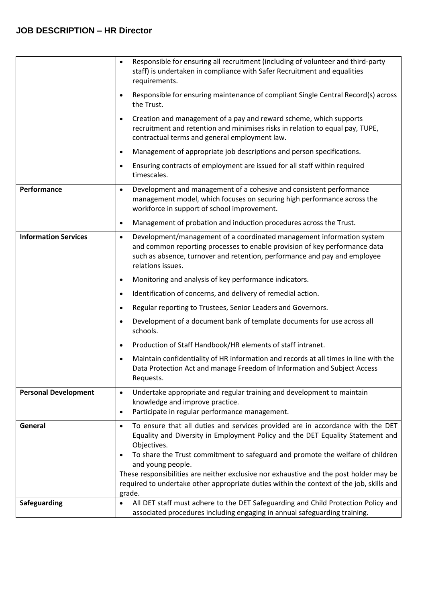## **JOB DESCRIPTION – HR Director**

|                             | Responsible for ensuring all recruitment (including of volunteer and third-party<br>$\bullet$<br>staff) is undertaken in compliance with Safer Recruitment and equalities<br>requirements.                                                                         |
|-----------------------------|--------------------------------------------------------------------------------------------------------------------------------------------------------------------------------------------------------------------------------------------------------------------|
|                             | Responsible for ensuring maintenance of compliant Single Central Record(s) across<br>$\bullet$<br>the Trust.                                                                                                                                                       |
|                             | Creation and management of a pay and reward scheme, which supports<br>$\bullet$<br>recruitment and retention and minimises risks in relation to equal pay, TUPE,<br>contractual terms and general employment law.                                                  |
|                             | Management of appropriate job descriptions and person specifications.<br>$\bullet$                                                                                                                                                                                 |
|                             | Ensuring contracts of employment are issued for all staff within required<br>$\bullet$<br>timescales.                                                                                                                                                              |
| Performance                 | Development and management of a cohesive and consistent performance<br>$\bullet$<br>management model, which focuses on securing high performance across the<br>workforce in support of school improvement.                                                         |
|                             | Management of probation and induction procedures across the Trust.<br>$\bullet$                                                                                                                                                                                    |
| <b>Information Services</b> | Development/management of a coordinated management information system<br>$\bullet$<br>and common reporting processes to enable provision of key performance data<br>such as absence, turnover and retention, performance and pay and employee<br>relations issues. |
|                             | Monitoring and analysis of key performance indicators.<br>$\bullet$                                                                                                                                                                                                |
|                             | Identification of concerns, and delivery of remedial action.<br>$\bullet$                                                                                                                                                                                          |
|                             | Regular reporting to Trustees, Senior Leaders and Governors.<br>$\bullet$                                                                                                                                                                                          |
|                             | Development of a document bank of template documents for use across all<br>$\bullet$<br>schools.                                                                                                                                                                   |
|                             | Production of Staff Handbook/HR elements of staff intranet.<br>$\bullet$                                                                                                                                                                                           |
|                             | Maintain confidentiality of HR information and records at all times in line with the<br>$\bullet$<br>Data Protection Act and manage Freedom of Information and Subject Access<br>Requests.                                                                         |
| <b>Personal Development</b> | Undertake appropriate and regular training and development to maintain<br>$\bullet$<br>knowledge and improve practice.                                                                                                                                             |
|                             | Participate in regular performance management.<br>$\bullet$                                                                                                                                                                                                        |
| General                     | To ensure that all duties and services provided are in accordance with the DET<br>$\bullet$<br>Equality and Diversity in Employment Policy and the DET Equality Statement and<br>Objectives.                                                                       |
|                             | To share the Trust commitment to safeguard and promote the welfare of children<br>$\bullet$<br>and young people.                                                                                                                                                   |
|                             | These responsibilities are neither exclusive nor exhaustive and the post holder may be<br>required to undertake other appropriate duties within the context of the job, skills and<br>grade.                                                                       |
| <b>Safeguarding</b>         | All DET staff must adhere to the DET Safeguarding and Child Protection Policy and<br>associated procedures including engaging in annual safeguarding training.                                                                                                     |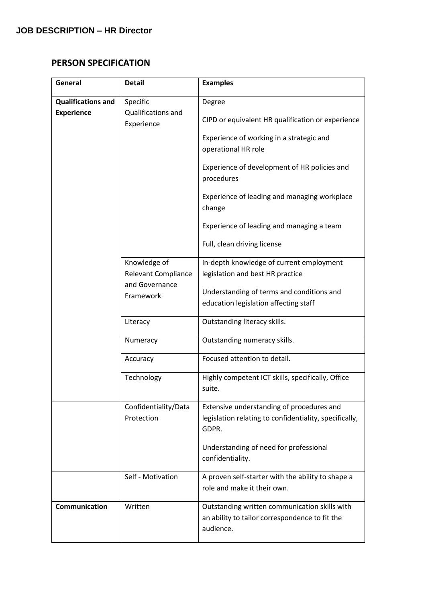## **PERSON SPECIFICATION**

| General                   | <b>Detail</b>                              | <b>Examples</b>                                                                                              |
|---------------------------|--------------------------------------------|--------------------------------------------------------------------------------------------------------------|
| <b>Qualifications and</b> | Specific                                   | Degree                                                                                                       |
| <b>Experience</b>         | Qualifications and<br>Experience           | CIPD or equivalent HR qualification or experience                                                            |
|                           |                                            | Experience of working in a strategic and<br>operational HR role                                              |
|                           |                                            | Experience of development of HR policies and<br>procedures                                                   |
|                           |                                            | Experience of leading and managing workplace<br>change                                                       |
|                           |                                            | Experience of leading and managing a team                                                                    |
|                           |                                            | Full, clean driving license                                                                                  |
|                           | Knowledge of<br><b>Relevant Compliance</b> | In-depth knowledge of current employment<br>legislation and best HR practice                                 |
|                           | and Governance<br>Framework                | Understanding of terms and conditions and<br>education legislation affecting staff                           |
|                           | Literacy                                   | Outstanding literacy skills.                                                                                 |
|                           | Numeracy                                   | Outstanding numeracy skills.                                                                                 |
|                           | Accuracy                                   | Focused attention to detail.                                                                                 |
|                           | Technology                                 | Highly competent ICT skills, specifically, Office<br>suite.                                                  |
|                           | Confidentiality/Data<br>Protection         | Extensive understanding of procedures and<br>legislation relating to confidentiality, specifically,<br>GDPR. |
|                           |                                            | Understanding of need for professional<br>confidentiality.                                                   |
|                           | Self - Motivation                          | A proven self-starter with the ability to shape a<br>role and make it their own.                             |
| <b>Communication</b>      | Written                                    | Outstanding written communication skills with<br>an ability to tailor correspondence to fit the<br>audience. |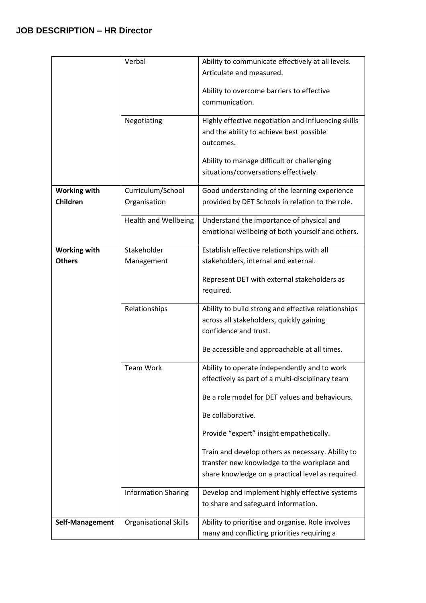|                     | Verbal                       | Ability to communicate effectively at all levels.                                               |
|---------------------|------------------------------|-------------------------------------------------------------------------------------------------|
|                     |                              | Articulate and measured.                                                                        |
|                     |                              | Ability to overcome barriers to effective                                                       |
|                     |                              | communication.                                                                                  |
|                     |                              |                                                                                                 |
|                     | Negotiating                  | Highly effective negotiation and influencing skills<br>and the ability to achieve best possible |
|                     |                              | outcomes.                                                                                       |
|                     |                              |                                                                                                 |
|                     |                              | Ability to manage difficult or challenging                                                      |
|                     |                              | situations/conversations effectively.                                                           |
| <b>Working with</b> | Curriculum/School            | Good understanding of the learning experience                                                   |
| Children            | Organisation                 | provided by DET Schools in relation to the role.                                                |
|                     | <b>Health and Wellbeing</b>  | Understand the importance of physical and                                                       |
|                     |                              | emotional wellbeing of both yourself and others.                                                |
| <b>Working with</b> | Stakeholder                  | Establish effective relationships with all                                                      |
| <b>Others</b>       | Management                   | stakeholders, internal and external.                                                            |
|                     |                              | Represent DET with external stakeholders as                                                     |
|                     |                              | required.                                                                                       |
|                     | Relationships                | Ability to build strong and effective relationships                                             |
|                     |                              | across all stakeholders, quickly gaining                                                        |
|                     |                              | confidence and trust.                                                                           |
|                     |                              | Be accessible and approachable at all times.                                                    |
|                     |                              |                                                                                                 |
|                     | <b>Team Work</b>             | Ability to operate independently and to work                                                    |
|                     |                              | effectively as part of a multi-disciplinary team                                                |
|                     |                              | Be a role model for DET values and behaviours.                                                  |
|                     |                              | Be collaborative.                                                                               |
|                     |                              | Provide "expert" insight empathetically.                                                        |
|                     |                              | Train and develop others as necessary. Ability to                                               |
|                     |                              | transfer new knowledge to the workplace and                                                     |
|                     |                              | share knowledge on a practical level as required.                                               |
|                     | <b>Information Sharing</b>   | Develop and implement highly effective systems                                                  |
|                     |                              | to share and safeguard information.                                                             |
| Self-Management     | <b>Organisational Skills</b> | Ability to prioritise and organise. Role involves                                               |
|                     |                              | many and conflicting priorities requiring a                                                     |